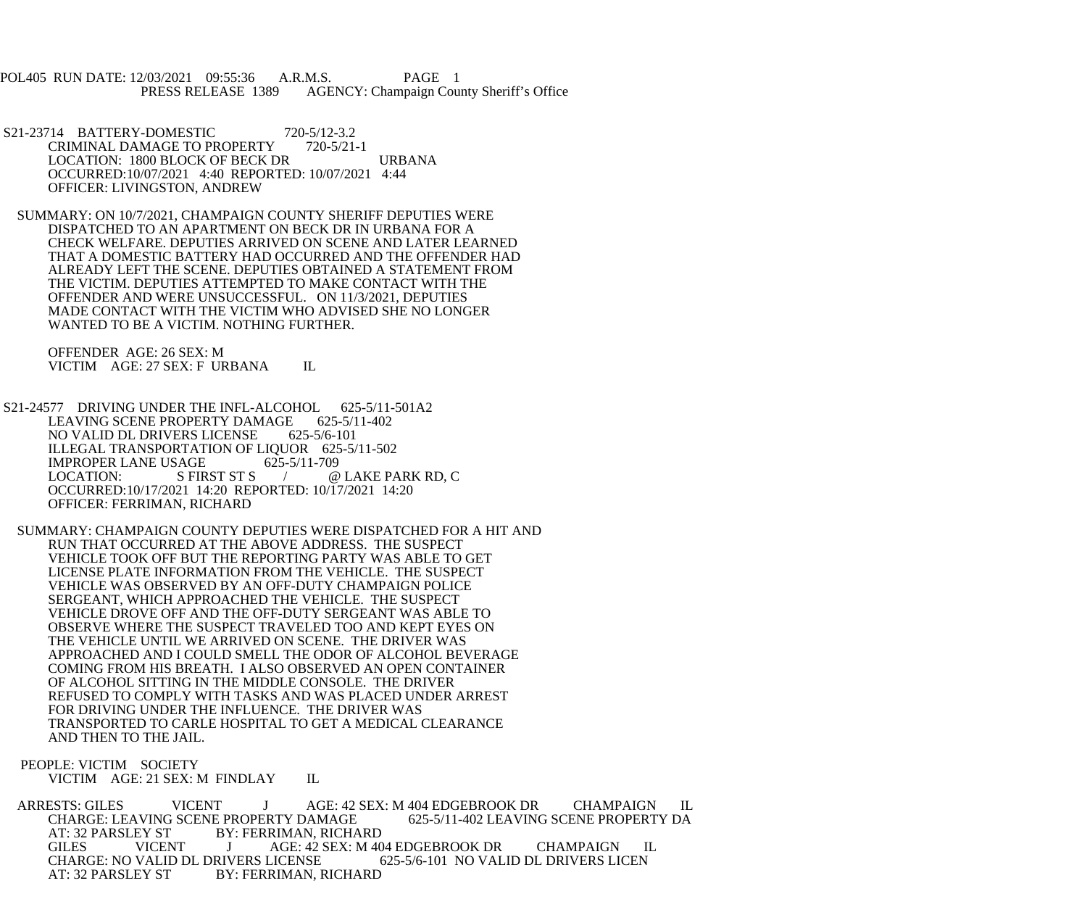POL405 RUN DATE: 12/03/2021 09:55:36 A.R.M.S. PAGE 1 PRESS RELEASE 1389 AGENCY: Champaign County Sheriff's Office

- S21-23714 BATTERY-DOMESTIC 720-5/12-3.2<br>CRIMINAL DAMAGE TO PROPERTY 720-5/21-1 CRIMINAL DAMAGE TO PROPERTY LOCATION: 1800 BLOCK OF BECK DR URBANA OCCURRED:10/07/2021 4:40 REPORTED: 10/07/2021 4:44 OFFICER: LIVINGSTON, ANDREW
- SUMMARY: ON 10/7/2021, CHAMPAIGN COUNTY SHERIFF DEPUTIES WERE DISPATCHED TO AN APARTMENT ON BECK DR IN URBANA FOR A CHECK WELFARE. DEPUTIES ARRIVED ON SCENE AND LATER LEARNED THAT A DOMESTIC BATTERY HAD OCCURRED AND THE OFFENDER HAD ALREADY LEFT THE SCENE. DEPUTIES OBTAINED A STATEMENT FROM THE VICTIM. DEPUTIES ATTEMPTED TO MAKE CONTACT WITH THE OFFENDER AND WERE UNSUCCESSFUL. ON 11/3/2021, DEPUTIES MADE CONTACT WITH THE VICTIM WHO ADVISED SHE NO LONGER WANTED TO BE A VICTIM. NOTHING FURTHER.

 OFFENDER AGE: 26 SEX: M VICTIM AGE: 27 SEX: F URBANA IL

- S21-24577 DRIVING UNDER THE INFL-ALCOHOL 625-5/11-501A2<br>LEAVING SCENE PROPERTY DAMAGE 625-5/11-402 LEAVING SCENE PROPERTY DAMAGE NO VALID DL DRIVERS LICENSE 625-5/6-101 ILLEGAL TRANSPORTATION OF LIQUOR 625-5/11-502 IMPROPER LANE USAGE 625-5/11-709<br>LOCATION: S FIRST ST S / @ LOCATION: S FIRST ST S / @ LAKE PARK RD, C OCCURRED:10/17/2021 14:20 REPORTED: 10/17/2021 14:20 OFFICER: FERRIMAN, RICHARD
- SUMMARY: CHAMPAIGN COUNTY DEPUTIES WERE DISPATCHED FOR A HIT AND RUN THAT OCCURRED AT THE ABOVE ADDRESS. THE SUSPECT VEHICLE TOOK OFF BUT THE REPORTING PARTY WAS ABLE TO GET LICENSE PLATE INFORMATION FROM THE VEHICLE. THE SUSPECT VEHICLE WAS OBSERVED BY AN OFF-DUTY CHAMPAIGN POLICE SERGEANT, WHICH APPROACHED THE VEHICLE. THE SUSPECT VEHICLE DROVE OFF AND THE OFF-DUTY SERGEANT WAS ABLE TO OBSERVE WHERE THE SUSPECT TRAVELED TOO AND KEPT EYES ON THE VEHICLE UNTIL WE ARRIVED ON SCENE. THE DRIVER WAS APPROACHED AND I COULD SMELL THE ODOR OF ALCOHOL BEVERAGE COMING FROM HIS BREATH. I ALSO OBSERVED AN OPEN CONTAINER OF ALCOHOL SITTING IN THE MIDDLE CONSOLE. THE DRIVER REFUSED TO COMPLY WITH TASKS AND WAS PLACED UNDER ARREST FOR DRIVING UNDER THE INFLUENCE. THE DRIVER WAS TRANSPORTED TO CARLE HOSPITAL TO GET A MEDICAL CLEARANCE AND THEN TO THE JAIL.

 PEOPLE: VICTIM SOCIETY VICTIM AGE: 21 SEX: M FINDLAY IL

ARRESTS: GILES VICENT J AGE: 42 SEX: M 404 EDGEBROOK DR CHAMPAIGN IL CHARGE: LEAVING SCENE PROPERTY DA CHARGE: LEAVING SCENE PROPERTY DAMAGE<br>AT: 32 PARSLEY ST BY: FERRIMAN, RICHA **BY: FERRIMAN, RICHARD** GILES VICENT J AGE: 42 SEX: M 404 EDGEBROOK DR CHAMPAIGN IL CHARGE: NO VALID DL DRIVERS LICENSE 625-5/6-101 NO VALID DL DRIVERS LICEN<br>AT: 32 PARSLEY ST BY: FERRIMAN, RICHARD BY: FERRIMAN, RICHARD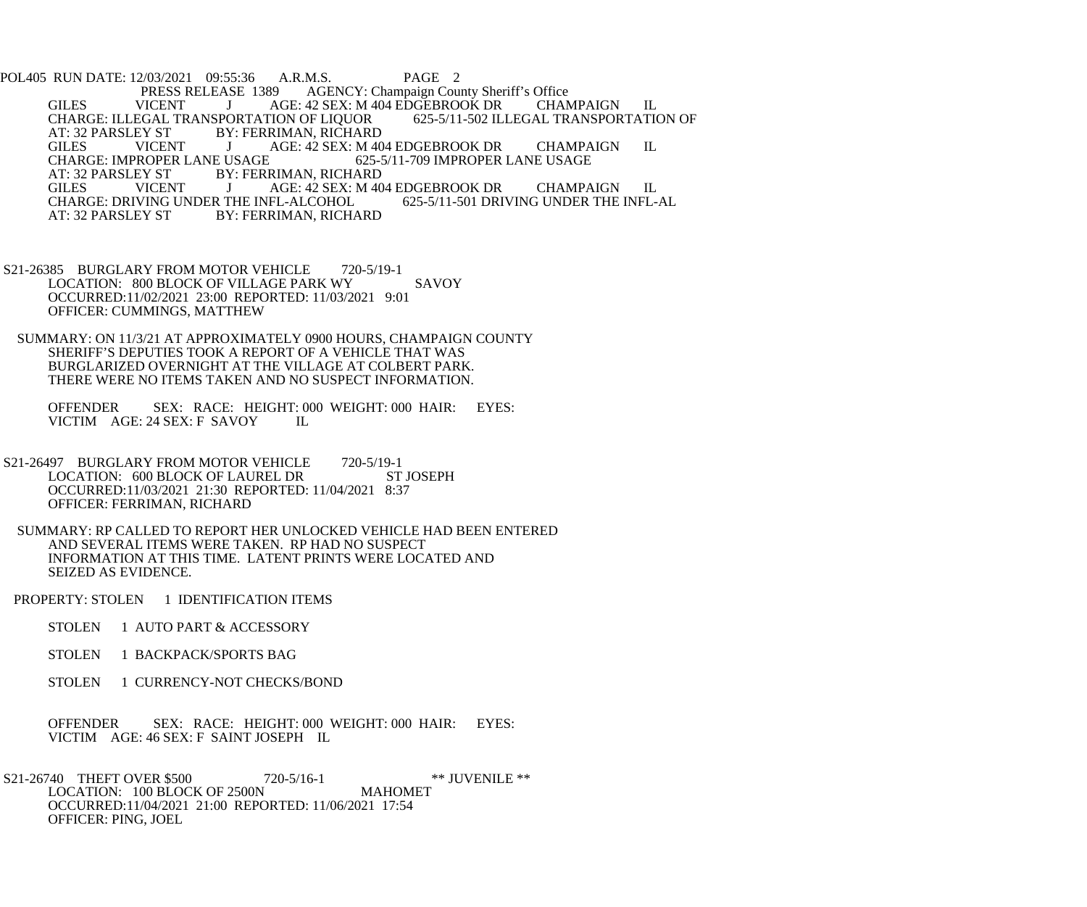POL405 RUN DATE: 12/03/2021 09:55:36 A.R.M.S. PAGE 2<br>PRESS RELEASE 1389 AGENCY: Champaign Cou PRESS RELEASE 1389 AGENCY: Champaign County Sheriff's Office<br>GILES VICENT J AGE: 42 SEX: M 404 EDGEBROOK DR CHAN AGE: 42 SEX: M 404 EDGEBROOK DR CHAMPAIGN IL<br>FION OF LIQUOR 625-5/11-502 ILLEGAL TRANSPORTATION OF CHARGE: ILLEGAL TRANSPORTATION OF LIQUOR<br>AT: 32 PARSLEY ST BY: FERRIMAN, RICHARI AT: 32 PARSLEY ST BY: FERRIMAN, RICHARD<br>GILES VICENT J AGE: 42 SEX: M 40 J AGE: 42 SEX: M 404 EDGEBROOK DR CHAMPAIGN IL<br>USAGE 625-5/11-709 IMPROPER LANE USAGE CHARGE: IMPROPER LANE USAGE<br>AT: 32 PARSLEY ST BY: FERE AT: 32 PARSLEY ST BY: FERRIMAN, RICHARD<br>GILES VICENT J AGE: 42 SEX: M 40 AGE: 42 SEX: M 404 EDGEBROOK DR CHAMPAIGN IL<br>FL-ALCOHOL 625-5/11-501 DRIVING UNDER THE INFL-AL CHARGE: DRIVING UNDER THE INFL-ALCOHOL<br>AT: 32 PARSLEY ST BY: FERRIMAN, RICHA **BY: FERRIMAN, RICHARD** 

- S21-26385 BURGLARY FROM MOTOR VEHICLE 720-5/19-1 LOCATION: 800 BLOCK OF VILLAGE PARK WY SAVOY OCCURRED:11/02/2021 23:00 REPORTED: 11/03/2021 9:01 OFFICER: CUMMINGS, MATTHEW
- SUMMARY: ON 11/3/21 AT APPROXIMATELY 0900 HOURS, CHAMPAIGN COUNTY SHERIFF'S DEPUTIES TOOK A REPORT OF A VEHICLE THAT WAS BURGLARIZED OVERNIGHT AT THE VILLAGE AT COLBERT PARK. THERE WERE NO ITEMS TAKEN AND NO SUSPECT INFORMATION.

OFFENDER SEX: RACE: HEIGHT: 000 WEIGHT: 000 HAIR: EYES:<br>VICTIM AGE: 24 SEX: F SAVOY IL VICTIM AGE: 24 SEX: F SAVOY

- S21-26497 BURGLARY FROM MOTOR VEHICLE 720-5/19-1 LOCATION: 600 BLOCK OF LAUREL DR ST JOSEPH OCCURRED:11/03/2021 21:30 REPORTED: 11/04/2021 8:37 OFFICER: FERRIMAN, RICHARD
	- SUMMARY: RP CALLED TO REPORT HER UNLOCKED VEHICLE HAD BEEN ENTERED AND SEVERAL ITEMS WERE TAKEN. RP HAD NO SUSPECT INFORMATION AT THIS TIME. LATENT PRINTS WERE LOCATED AND SEIZED AS EVIDENCE.
- PROPERTY: STOLEN 1 IDENTIFICATION ITEMS
	- STOLEN 1 AUTO PART & ACCESSORY
	- STOLEN 1 BACKPACK/SPORTS BAG
	- STOLEN 1 CURRENCY-NOT CHECKS/BOND
	- OFFENDER SEX: RACE: HEIGHT: 000 WEIGHT: 000 HAIR: EYES: VICTIM AGE: 46 SEX: F SAINT JOSEPH IL
- S21-26740 THEFT OVER \$500 720-5/16-1 \*\* JUVENILE \*\*<br>LOCATION: 100 BLOCK OF 2500N MAHOMET LOCATION: 100 BLOCK OF 2500N OCCURRED:11/04/2021 21:00 REPORTED: 11/06/2021 17:54 OFFICER: PING, JOEL